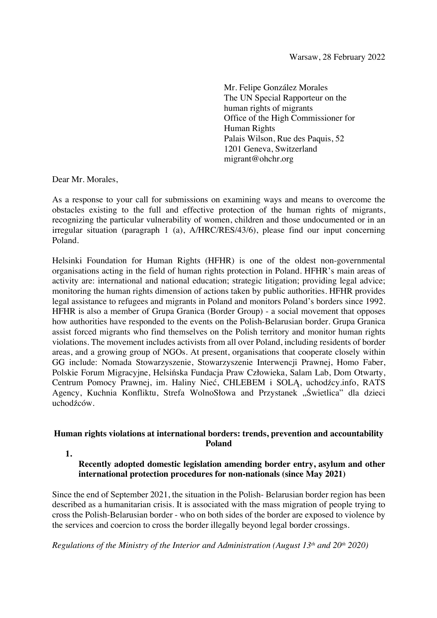Mr. Felipe González Morales The UN Special Rapporteur on the human rights of migrants Office of the High Commissioner for Human Rights Palais Wilson, Rue des Paquis, 52 1201 Geneva, Switzerland migrant@ohchr.org

Dear Mr. Morales,

As a response to your call for submissions on examining ways and means to overcome the obstacles existing to the full and effective protection of the human rights of migrants, recognizing the particular vulnerability of women, children and those undocumented or in an irregular situation (paragraph 1 (a), A/HRC/RES/43/6), please find our input concerning Poland.

Helsinki Foundation for Human Rights (HFHR) is one of the oldest non-governmental organisations acting in the field of human rights protection in Poland. HFHR's main areas of activity are: international and national education; strategic litigation; providing legal advice; monitoring the human rights dimension of actions taken by public authorities. HFHR provides legal assistance to refugees and migrants in Poland and monitors Poland's borders since 1992. HFHR is also a member of Grupa Granica (Border Group) - a social movement that opposes how authorities have responded to the events on the Polish-Belarusian border. Grupa Granica assist forced migrants who find themselves on the Polish territory and monitor human rights violations. The movement includes activists from all over Poland, including residents of border areas, and a growing group of NGOs. At present, organisations that cooperate closely within GG include: Nomada Stowarzyszenie, Stowarzyszenie Interwencji Prawnej, Homo Faber, Polskie Forum Migracyjne, Helsińska Fundacja Praw Człowieka, Salam Lab, Dom Otwarty, Centrum Pomocy Prawnej, im. Haliny Nieć, CHLEBEM i SOLĄ, uchodźcy.info, RATS Agency, Kuchnia Konfliktu, Strefa WolnoSłowa and Przystanek "Świetlica" dla dzieci uchodźców.

### **Human rights violations at international borders: trends, prevention and accountability Poland**

### **Recently adopted domestic legislation amending border entry, asylum and other international protection procedures for non-nationals (since May 2021)**

Since the end of September 2021, the situation in the Polish- Belarusian border region has been described as a humanitarian crisis. It is associated with the mass migration of people trying to cross the Polish-Belarusian border - who on both sides of the border are exposed to violence by the services and coercion to cross the border illegally beyond legal border crossings.

*Regulations of the Ministry of the Interior and Administration (August 13<sup>th</sup> and 20<sup>th</sup> 2020)* 

**<sup>1.</sup>**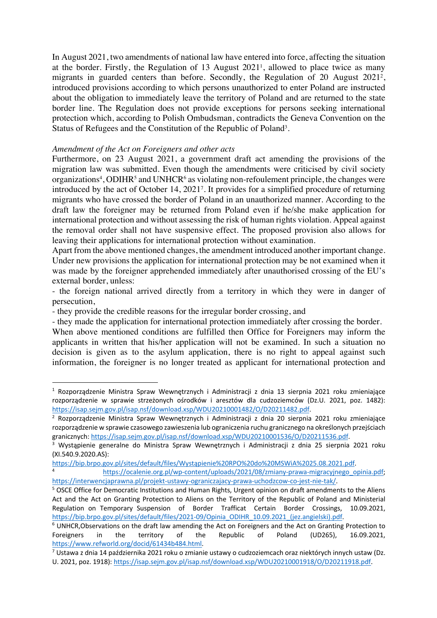In August 2021, two amendments of national law have entered into force, affecting the situation at the border. Firstly, the Regulation of 13 August 20211, allowed to place twice as many migrants in guarded centers than before. Secondly, the Regulation of 20 August 20212, introduced provisions according to which persons unauthorized to enter Poland are instructed about the obligation to immediately leave the territory of Poland and are returned to the state border line. The Regulation does not provide exceptions for persons seeking international protection which, according to Polish Ombudsman, contradicts the Geneva Convention on the Status of Refugees and the Constitution of the Republic of Poland<sup>3</sup>.

#### *Amendment of the Act on Foreigners and other acts*

Furthermore, on 23 August 2021, a government draft act amending the provisions of the migration law was submitted. Even though the amendments were criticised by civil society organizations<sup>4</sup>, ODIHR<sup>5</sup> and UNHCR<sup>6</sup> as violating non-refoulement principle, the changes were introduced by the act of October 14, 20217. It provides for a simplified procedure of returning migrants who have crossed the border of Poland in an unauthorized manner. According to the draft law the foreigner may be returned from Poland even if he/she make application for international protection and without assessing the risk of human rights violation. Appeal against the removal order shall not have suspensive effect. The proposed provision also allows for leaving their applications for international protection without examination.

Apart from the above mentioned changes, the amendment introduced another important change. Under new provisions the application for international protection may be not examined when it was made by the foreigner apprehended immediately after unauthorised crossing of the EU's external border, unless:

- the foreign national arrived directly from a territory in which they were in danger of persecution,

- they provide the credible reasons for the irregular border crossing, and

- they made the application for international protection immediately after crossing the border.

When above mentioned conditions are fulfilled then Office for Foreigners may inform the applicants in written that his/her application will not be examined. In such a situation no decision is given as to the asylum application, there is no right to appeal against such information, the foreigner is no longer treated as applicant for international protection and

<sup>&</sup>lt;sup>1</sup> Rozporządzenie Ministra Spraw Wewnętrznych i Administracji z dnia 13 sierpnia 2021 roku zmieniające rozporządzenie w sprawie strzeżonych ośrodków i aresztów dla cudzoziemców (Dz.U. 2021, poz. 1482):<br>https://isap.sejm.gov.pl/isap.nsf/download.xsp/WDU20210001482/O/D20211482.pdf.

<sup>&</sup>lt;sup>2</sup> Rozporządzenie Ministra Spraw Wewnętrznych i Administracji z dnia 20 sierpnia 2021 roku zmieniające rozporządzenie w sprawie czasowego zawieszenia lub ograniczenia ruchu granicznego na określonych przejściach granicznych: https://isap.sejm.gov.pl/isap.nsf/download.xsp/WDU20210001536/O/D20211536.pdf.<br><sup>3</sup> Wystąpienie generalne do Ministra Spraw Wewnętrznych i Administracji z dnia 25 sierpnia 2021 roku

<sup>(</sup>XI.540.9.2020.AS):

https://bip.brpo.gov.pl/sites/default/files/Wystąpienie%20RPO%20do%20MSWiA%2025.08.2021.pdf<br>https://ocalenie.org.pl/wp-content/uploads/2021/08/zmiany-prawa-migracyjnego\_opinia.pdf;

https://interwencjaprawna.pl/projekt-ustawy-ograniczajacy-prawa-uchodzcow-co-jest-nie-tak/.<br><sup>5</sup> OSCE Office for Democratic Institutions and Human Rights, Urgent opinion on draft amendments to the Aliens Act and the Act on Granting Protection to Aliens on the Territory of the Republic of Poland and Ministerial Regulation on Temporary Suspension of Border Trafficat Certain Border Crossings, 10.09.2021, https://bip.brpo.gov.pl/sites/default/files/2021-09/Opinia\_ODIHR\_10.09.2021\_(jez.angielski).pdf. 6 UNHCR,Observations on the draft law amending the Act on Foreigners and the Act on Granting Protection to

Foreigners in the territory of the Republic of Poland (UD265), 16.09.2021, https://www.refworld.org/docid/61434b484.html.

 $\frac{1}{7}$ Ustawa z dnia 14 października 2021 roku o zmianie ustawy o cudzoziemcach oraz niektórych innych ustaw (Dz. U. 2021, poz. 1918): https://isap.sejm.gov.pl/isap.nsf/download.xsp/WDU20210001918/O/D20211918.pdf.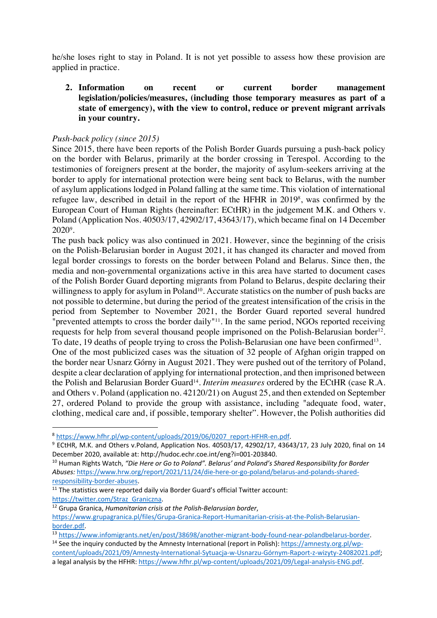he/she loses right to stay in Poland. It is not yet possible to assess how these provision are applied in practice.

**2. Information on recent or current border management legislation/policies/measures, (including those temporary measures as part of a state of emergency), with the view to control, reduce or prevent migrant arrivals in your country.**

## *Push-back policy (since 2015)*

Since 2015, there have been reports of the Polish Border Guards pursuing a push-back policy on the border with Belarus, primarily at the border crossing in Terespol. According to the testimonies of foreigners present at the border, the majority of asylum-seekers arriving at the border to apply for international protection were being sent back to Belarus, with the number of asylum applications lodged in Poland falling at the same time. This violation of international refugee law, described in detail in the report of the HFHR in 2019<sup>8</sup>, was confirmed by the European Court of Human Rights (hereinafter: ECtHR) in the judgement M.K. and Others v. Poland (Application Nos. 40503/17, 42902/17, 43643/17), which became final on 14 December 20209 .

The push back policy was also continued in 2021. However, since the beginning of the crisis on the Polish-Belarusian border in August 2021, it has changed its character and moved from legal border crossings to forests on the border between Poland and Belarus. Since then, the media and non-governmental organizations active in this area have started to document cases of the Polish Border Guard deporting migrants from Poland to Belarus, despite declaring their willingness to apply for asylum in Poland<sup>10</sup>. Accurate statistics on the number of push backs are not possible to determine, but during the period of the greatest intensification of the crisis in the period from September to November 2021, the Border Guard reported several hundred "prevented attempts to cross the border daily"<sup>11</sup>. In the same period, NGOs reported receiving requests for help from several thousand people imprisoned on the Polish-Belarusian border<sup>12</sup>. To date, 19 deaths of people trying to cross the Polish-Belarusian one have been confirmed<sup>13</sup>.

One of the most publicized cases was the situation of 32 people of Afghan origin trapped on the border near Usnarz Górny in August 2021. They were pushed out of the territory of Poland, despite a clear declaration of applying for international protection, and then imprisoned between the Polish and Belarusian Border Guard<sup>14</sup>. *Interim measures* ordered by the ECtHR (case R.A. and Others v. Poland (application no. 42120/21) on August 25, and then extended on September 27, ordered Poland to provide the group with assistance, including "adequate food, water, clothing, medical care and, if possible, temporary shelter". However, the Polish authorities did

<sup>13</sup> https://www.infomigrants.net/en/post/38698/another-migrant-body-found-near-polandbelarus-border.<br><sup>14</sup> See the inquiry conducted by the Amnesty International (report in Polish): https://amnesty.org.pl/wp-

 $8 \frac{\text{https://www.hfhr.pl/wp-content/uploads/2019/06/0207 report-HFHR-en.pdf}}{9 \text{ ECHR, M.K. and Others v.Poland, Application Nos. 40503/17, 42902/17, 43643/17, 23 July 2020, final on 14}$ December 2020, available at: http://hudoc.echr.coe.int/eng?i=001-203840.

<sup>10</sup> Human Rights Watch, *"Die Here or Go to Poland". Belarus' and Poland's Shared Responsibility for Border Abuses:* https://www.hrw.org/report/2021/11/24/die-here-or-go-poland/belarus-and-polands-sharedresponsibility-border-abuses.

 $11$  The statistics were reported daily via Border Guard's official Twitter account: https://twitter.com/Straz\_Graniczna. 12 Grupa Granica, *Humanitarian crisis at the Polish-Belarusian border*,

https://www.grupagranica.pl/files/Grupa-Granica-Report-Humanitarian-crisis-at-the-Polish-Belarusianborder.pdf.

content/uploads/2021/09/Amnesty-International-Sytuacja-w-Usnarzu-Górnym-Raport-z-wizyty-24082021.pdf; a legal analysis by the HFHR: https://www.hfhr.pl/wp-content/uploads/2021/09/Legal-analysis-ENG.pdf.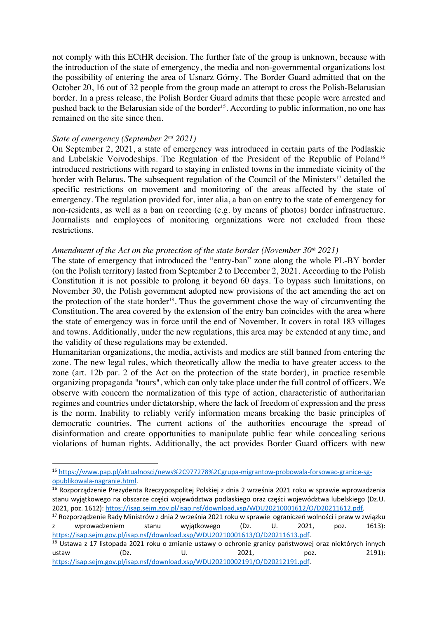not comply with this ECtHR decision. The further fate of the group is unknown, because with the introduction of the state of emergency, the media and non-governmental organizations lost the possibility of entering the area of Usnarz Górny. The Border Guard admitted that on the October 20, 16 out of 32 people from the group made an attempt to cross the Polish-Belarusian border. In a press release, the Polish Border Guard admits that these people were arrested and pushed back to the Belarusian side of the border<sup>15</sup>. According to public information, no one has remained on the site since then.

#### *State of emergency (September 2nd 2021)*

On September 2, 2021, a state of emergency was introduced in certain parts of the Podlaskie and Lubelskie Voivodeships. The Regulation of the President of the Republic of Poland<sup>16</sup> introduced restrictions with regard to staying in enlisted towns in the immediate vicinity of the border with Belarus. The subsequent regulation of the Council of the Ministers<sup>17</sup> detailed the specific restrictions on movement and monitoring of the areas affected by the state of emergency. The regulation provided for, inter alia, a ban on entry to the state of emergency for non-residents, as well as a ban on recording (e.g. by means of photos) border infrastructure. Journalists and employees of monitoring organizations were not excluded from these restrictions.

### Amendment of the Act on the protection of the state border (November 30<sup>th</sup> 2021)

The state of emergency that introduced the "entry-ban" zone along the whole PL-BY border (on the Polish territory) lasted from September 2 to December 2, 2021. According to the Polish Constitution it is not possible to prolong it beyond 60 days. To bypass such limitations, on November 30, the Polish government adopted new provisions of the act amending the act on the protection of the state border<sup>18</sup>. Thus the government chose the way of circumventing the Constitution. The area covered by the extension of the entry ban coincides with the area where the state of emergency was in force until the end of November. It covers in total 183 villages and towns. Additionally, under the new regulations, this area may be extended at any time, and the validity of these regulations may be extended.

Humanitarian organizations, the media, activists and medics are still banned from entering the zone. The new legal rules, which theoretically allow the media to have greater access to the zone (art. 12b par. 2 of the Act on the protection of the state border), in practice resemble organizing propaganda "tours", which can only take place under the full control of officers. We observe with concern the normalization of this type of action, characteristic of authoritarian regimes and countries under dictatorship, where the lack of freedom of expression and the press is the norm. Inability to reliably verify information means breaking the basic principles of democratic countries. The current actions of the authorities encourage the spread of disinformation and create opportunities to manipulate public fear while concealing serious violations of human rights. Additionally, the act provides Border Guard officers with new

<sup>&</sup>lt;sup>15</sup> https://www.pap.pl/aktualnosci/news%2C977278%2Cgrupa-migrantow-probowala-forsowac-granice-sg-<br>opublikowala-nagranie.html.

<sup>16</sup> Rozporządzenie Prezydenta Rzeczypospolitej Polskiej z dnia 2 września 2021 roku w sprawie wprowadzenia stanu wyjątkowego na obszarze części województwa podlaskiego oraz części województwa lubelskiego (Dz.U. 2021, poz. 1612): https://isap.sejm.gov.pl/isap.nsf/download.xsp/WDU20210001612/O/D20211612.pdf. 17 Rozporządzenie Rady Ministrów z dnia 2 września 2021 roku w sprawie ograniczeń wolności i praw w związku

z wprowadzeniem stanu wyjątkowego (Dz. U. 2021, poz. 1613): https://isap.sejm.gov.pl/isap.nsf/download.xsp/WDU20210001613/O/D20211613.pdf.<br><sup>18</sup> Ustawa z 17 listopada 2021 roku o zmianie ustawy o ochronie granicy państwowej oraz niektórych innych

ustaw (Dz. U. 2021, poz. 2191): https://isap.sejm.gov.pl/isap.nsf/download.xsp/WDU20210002191/O/D20212191.pdf.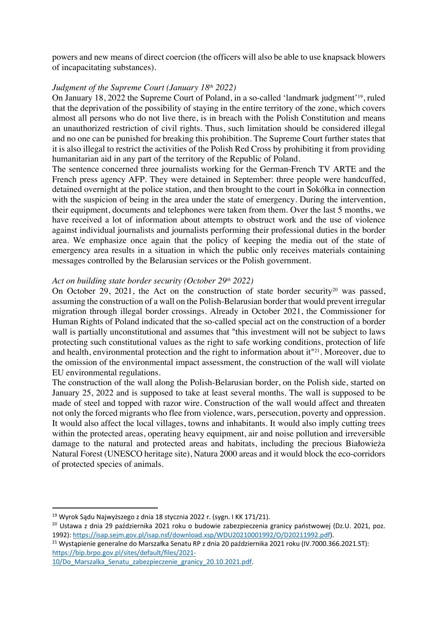powers and new means of direct coercion (the officers will also be able to use knapsack blowers of incapacitating substances).

## *Judgment of the Supreme Court (January 18th 2022)*

On January 18, 2022 the Supreme Court of Poland, in a so-called 'landmark judgment'19, ruled that the deprivation of the possibility of staying in the entire territory of the zone, which covers almost all persons who do not live there, is in breach with the Polish Constitution and means an unauthorized restriction of civil rights. Thus, such limitation should be considered illegal and no one can be punished for breaking this prohibition. The Supreme Court further states that it is also illegal to restrict the activities of the Polish Red Cross by prohibiting it from providing humanitarian aid in any part of the territory of the Republic of Poland.

The sentence concerned three journalists working for the German-French TV ARTE and the French press agency AFP. They were detained in September: three people were handcuffed, detained overnight at the police station, and then brought to the court in Sokółka in connection with the suspicion of being in the area under the state of emergency. During the intervention, their equipment, documents and telephones were taken from them. Over the last 5 months, we have received a lot of information about attempts to obstruct work and the use of violence against individual journalists and journalists performing their professional duties in the border area. We emphasize once again that the policy of keeping the media out of the state of emergency area results in a situation in which the public only receives materials containing messages controlled by the Belarusian services or the Polish government.

#### *Act on building state border security (October 29th 2022)*

On October 29, 2021, the Act on the construction of state border security<sup>20</sup> was passed, assuming the construction of a wall on the Polish-Belarusian border that would prevent irregular migration through illegal border crossings. Already in October 2021, the Commissioner for Human Rights of Poland indicated that the so-called special act on the construction of a border wall is partially unconstitutional and assumes that "this investment will not be subject to laws protecting such constitutional values as the right to safe working conditions, protection of life and health, environmental protection and the right to information about it<sup>"21</sup>. Moreover, due to the omission of the environmental impact assessment, the construction of the wall will violate EU environmental regulations.

The construction of the wall along the Polish-Belarusian border, on the Polish side, started on January 25, 2022 and is supposed to take at least several months. The wall is supposed to be made of steel and topped with razor wire. Construction of the wall would affect and threaten not only the forced migrants who flee from violence, wars, persecution, poverty and oppression. It would also affect the local villages, towns and inhabitants. It would also imply cutting trees within the protected areas, operating heavy equipment, air and noise pollution and irreversible damage to the natural and protected areas and habitats, including the precious Białowieża Natural Forest (UNESCO heritage site), Natura 2000 areas and it would block the eco-corridors of protected species of animals.

<sup>19</sup> Wyrok Sądu Najwyższego z dnia 18 stycznia 2022 r. (sygn. I KK 171/21).

<sup>&</sup>lt;sup>20</sup> Ustawa z dnia 29 października 2021 roku o budowie zabezpieczenia granicy państwowej (Dz.U. 2021, poz. 1992): https://isap.sejm.gov.pl/isap.nsf/download.xsp/WDU20210001992/O/D20211992.pdf).<br><sup>21</sup> Wystąpienie generalne do Marszałka Senatu RP z dnia 20 października 2021 roku (IV.7000.366.2021.ST):

https://bip.brpo.gov.pl/sites/default/files/2021-

<sup>10/</sup>Do\_Marszalka\_Senatu\_zabezpieczenie\_granicy\_20.10.2021.pdf.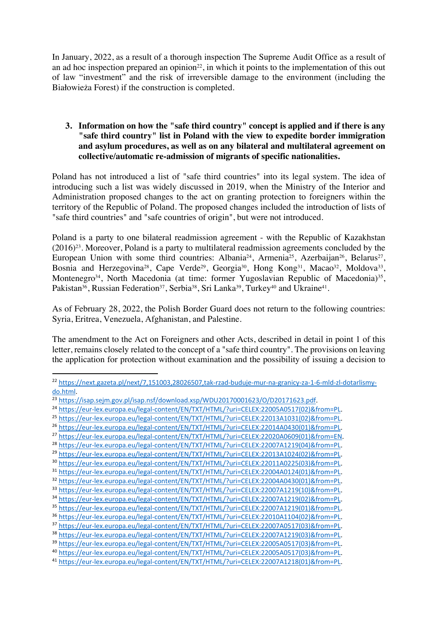In January, 2022, as a result of a thorough inspection The Supreme Audit Office as a result of an ad hoc inspection prepared an opinion<sup>22</sup>, in which it points to the implementation of this out of law "investment" and the risk of irreversible damage to the environment (including the Białowieża Forest) if the construction is completed.

### **3. Information on how the "safe third country" concept is applied and if there is any "safe third country" list in Poland with the view to expedite border immigration and asylum procedures, as well as on any bilateral and multilateral agreement on collective/automatic re-admission of migrants of specific nationalities.**

Poland has not introduced a list of "safe third countries" into its legal system. The idea of introducing such a list was widely discussed in 2019, when the Ministry of the Interior and Administration proposed changes to the act on granting protection to foreigners within the territory of the Republic of Poland. The proposed changes included the introduction of lists of "safe third countries" and "safe countries of origin", but were not introduced.

Poland is a party to one bilateral readmission agreement - with the Republic of Kazakhstan  $(2016)^{23}$ . Moreover, Poland is a party to multilateral readmission agreements concluded by the European Union with some third countries: Albania<sup>24</sup>, Armenia<sup>25</sup>, Azerbaijan<sup>26</sup>, Belarus<sup>27</sup>, Bosnia and Herzegovina<sup>28</sup>, Cape Verde<sup>29</sup>, Georgia<sup>30</sup>, Hong Kong<sup>31</sup>, Macao<sup>32</sup>, Moldova<sup>33</sup>, Montenegro<sup>34</sup>, North Macedonia (at time: former Yugoslavian Republic of Macedonia)<sup>35</sup>, Pakistan<sup>36</sup>, Russian Federation<sup>37</sup>, Serbia<sup>38</sup>, Sri Lanka<sup>39</sup>, Turkey<sup>40</sup> and Ukraine<sup>41</sup>.

As of February 28, 2022, the Polish Border Guard does not return to the following countries: Syria, Eritrea, Venezuela, Afghanistan, and Palestine.

The amendment to the Act on Foreigners and other Acts, described in detail in point 1 of this letter, remains closely related to the concept of a "safe third country". The provisions on leaving the application for protection without examination and the possibility of issuing a decision to

<sup>&</sup>lt;sup>22</sup> https://next.gazeta.pl/next/7,151003,28026507,tak-rzad-buduje-mur-na-granicy-za-1-6-mld-zl-dotarlismy-<br>do.html.

do.html.<br>
20 https://isap.sejm.gov.pl/isap.nsf/download.xsp/WDU20170001623/0/D20171623.pdf.<br>
24 https://eur-lex.europa.eu/legal-content/EN/TXT/HTML/?uri=CELEX:22005A0517(02)&from=PL.<br>
<sup>24</sup> https://eur-lex.europa.eu/legal-c